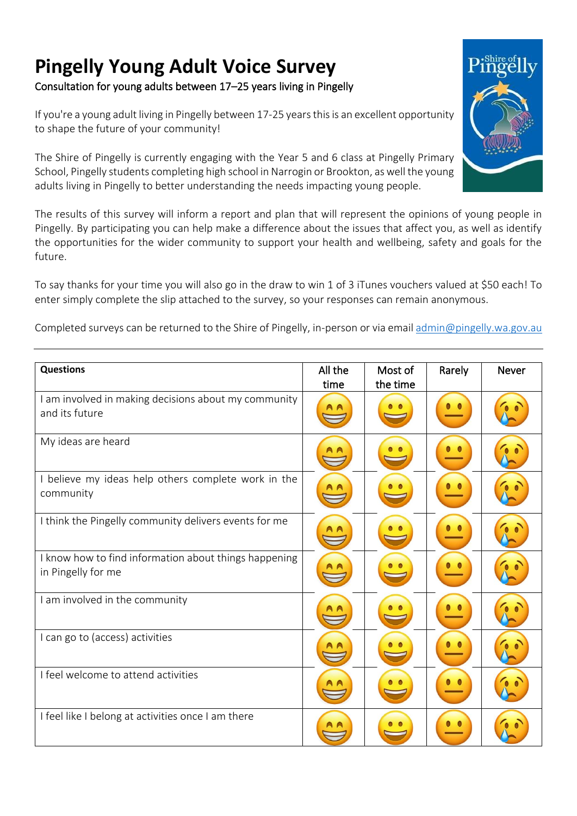## **Pingelly Young Adult Voice Survey**

Consultation for young adults between 17–25 years living in Pingelly

If you're a young adult living in Pingelly between 17-25 years this is an excellent opportunity to shape the future of your community!

The Shire of Pingelly is currently engaging with the Year 5 and 6 class at Pingelly Primary School, Pingelly students completing high school in Narrogin or Brookton, as well the young adults living in Pingelly to better understanding the needs impacting young people.

The results of this survey will inform a report and plan that will represent the opinions of young people in Pingelly. By participating you can help make a difference about the issues that affect you, as well as identify the opportunities for the wider community to support your health and wellbeing, safety and goals for the future.

To say thanks for your time you will also go in the draw to win 1 of 3 iTunes vouchers valued at \$50 each! To enter simply complete the slip attached to the survey, so your responses can remain anonymous.

Completed surveys can be returned to the Shire of Pingelly, in-person or via email [admin@pingelly.wa.gov.au](mailto:admin@pingelly.wa.gov.au)

| <b>Questions</b>                                                            | All the    | Most of  | Rarely | <b>Never</b> |
|-----------------------------------------------------------------------------|------------|----------|--------|--------------|
|                                                                             | time       | the time |        |              |
| I am involved in making decisions about my community<br>and its future      |            |          |        |              |
| My ideas are heard                                                          |            |          |        |              |
| I believe my ideas help others complete work in the<br>community            |            |          |        |              |
| I think the Pingelly community delivers events for me                       |            |          |        |              |
| I know how to find information about things happening<br>in Pingelly for me |            |          |        |              |
| I am involved in the community                                              |            |          |        |              |
| I can go to (access) activities                                             | <u>A A</u> |          |        |              |
| I feel welcome to attend activities                                         |            |          |        |              |
| I feel like I belong at activities once I am there                          |            |          |        |              |

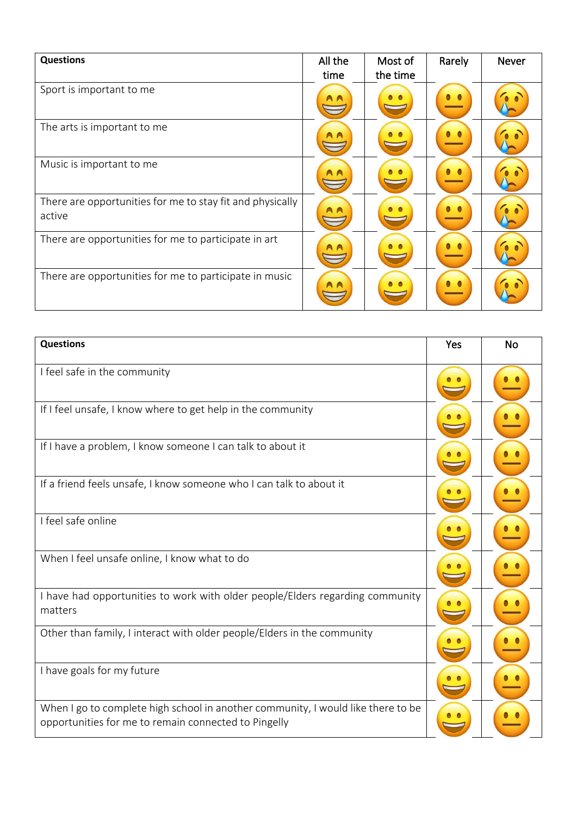| <b>Questions</b>                                                    | All the | Most of  | Rarely | <b>Never</b> |
|---------------------------------------------------------------------|---------|----------|--------|--------------|
|                                                                     | time    | the time |        |              |
| Sport is important to me                                            |         |          |        |              |
| The arts is important to me                                         | A A     |          |        |              |
| Music is important to me                                            |         |          |        |              |
| There are opportunities for me to stay fit and physically<br>active | A A     |          |        |              |
| There are opportunities for me to participate in art                | A A     |          |        |              |
| There are opportunities for me to participate in music              |         |          |        |              |

| <b>Questions</b>                                                                                                                         | Yes | <b>No</b> |
|------------------------------------------------------------------------------------------------------------------------------------------|-----|-----------|
| I feel safe in the community                                                                                                             |     |           |
| If I feel unsafe, I know where to get help in the community                                                                              |     |           |
| If I have a problem, I know someone I can talk to about it                                                                               |     |           |
| If a friend feels unsafe, I know someone who I can talk to about it                                                                      |     |           |
| I feel safe online                                                                                                                       |     |           |
| When I feel unsafe online, I know what to do                                                                                             |     |           |
| I have had opportunities to work with older people/Elders regarding community<br>matters                                                 |     |           |
| Other than family, I interact with older people/Elders in the community                                                                  |     |           |
| I have goals for my future                                                                                                               |     |           |
| When I go to complete high school in another community, I would like there to be<br>opportunities for me to remain connected to Pingelly |     |           |